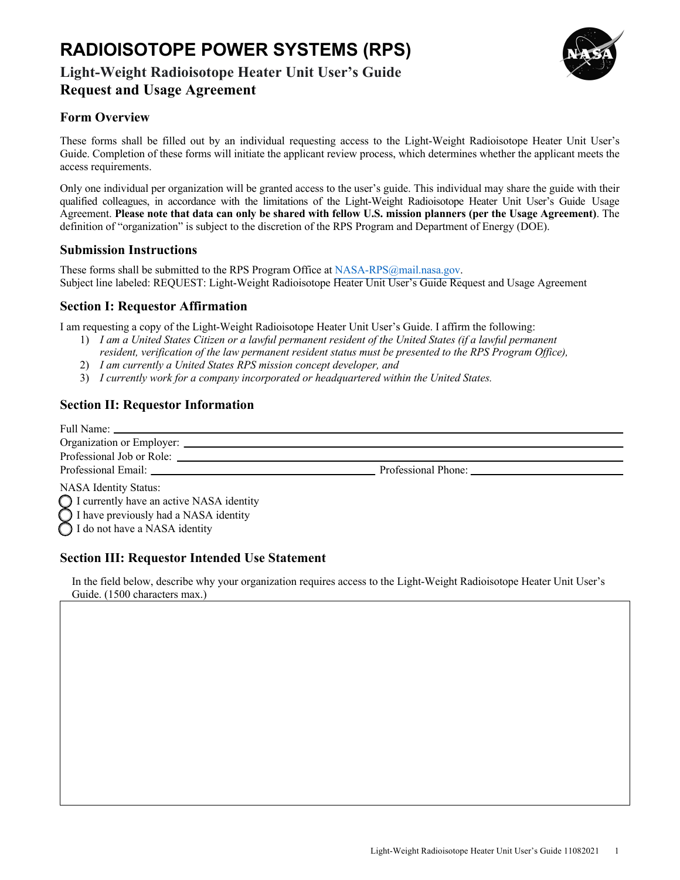# **RADIOISOTOPE POWER SYSTEMS (RPS)**

## **Light-Weight Radioisotope Heater Unit User's Guide Request and Usage Agreement**



### **Form Overview**

 These forms shall be filled out by an individual requesting access to the Light-Weight Radioisotope Heater Unit User's Guide. Completion of these forms will initiate the applicant review process, which determines whether the applicant meets the access requirements.

 Only one individual per organization will be granted access to the user's guide. This individual may share the guide with their qualified colleagues, in accordance with the limitations of the Light-Weight Radioisotope Heater Unit User's Guide Usage  Agreement. **Please note that data can only be shared with fellow U.S. mission planners (per the Usage Agreement)**. The definition of "organization" is subject to the discretion of the RPS Program and Department of Energy (DOE).

### **Submission Instructions**

 These forms shall be submitted to the RPS Program Office at [NASA-RPS@mail.nasa.gov.](mailto:NASA-RPS@mail.nasa.gov) Subject line labeled: REQUEST: Light-Weight Radioisotope Heater Unit User's Guide Request and Usage Agreement

### **Section I: Requestor Affirmation**

I am requesting a copy of the Light-Weight Radioisotope Heater Unit User's Guide. I affirm the following:

- 1) *I am a United States Citizen or a lawful permanent resident of the United States (if a lawful permanent resident, verification of the law permanent resident status must be presented to the RPS Program Office),*
- 2) *I am currently a United States RPS mission concept developer, and*
- 3) *I currently work for a company incorporated or headquartered within the United States.*

### **Section II: Requestor Information**

|                                                                                                                      | Professional Phone: |  |
|----------------------------------------------------------------------------------------------------------------------|---------------------|--|
| <b>NASA Identity Status:</b>                                                                                         |                     |  |
|                                                                                                                      |                     |  |
|                                                                                                                      |                     |  |
| ◯ I currently have an active NASA identity<br>I have previously had a NASA identity<br>I do not have a NASA identity |                     |  |

### **Section III: Requestor Intended Use Statement**

 In the field below, describe why your organization requires access to the Light-Weight Radioisotope Heater Unit User's Guide. (1500 characters max.)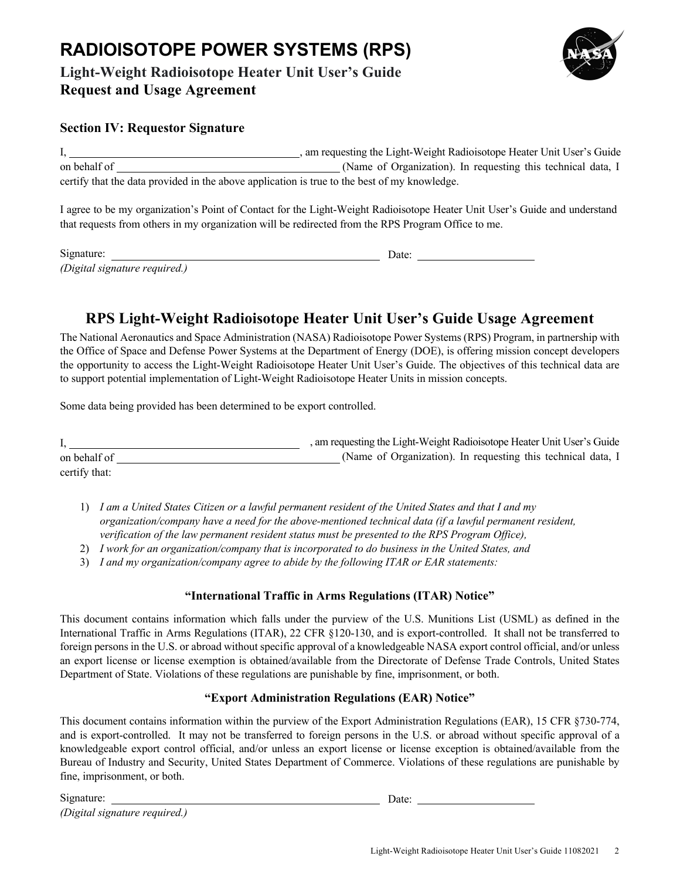# **RADIOISOTOPE POWER SYSTEMS (RPS)**

# **Light-Weight Radioisotope Heater Unit User's Guide Request and Usage Agreement**



### **Section IV: Requestor Signature**

|                                                                                              | , am requesting the Light-Weight Radioisotope Heater Unit User's Guide |
|----------------------------------------------------------------------------------------------|------------------------------------------------------------------------|
| on behalf of                                                                                 | (Name of Organization). In requesting this technical data, I           |
| certify that the data provided in the above application is true to the best of my knowledge. |                                                                        |

 I agree to be my organization's Point of Contact for the Light-Weight Radioisotope Heater Unit User's Guide and understand that requests from others in my organization will be redirected from the RPS Program Office to me.

| Signature:                    | )ate: |  |
|-------------------------------|-------|--|
| (Digital signature required.) |       |  |

# **RPS Light-Weight Radioisotope Heater Unit User's Guide Usage Agreement**

 The National Aeronautics and Space Administration (NASA) Radioisotope Power Systems (RPS) Program, in partnership with the Office of Space and Defense Power Systems at the Department of Energy (DOE), is offering mission concept developers the opportunity to access the Light-Weight Radioisotope Heater Unit User's Guide. The objectives of this technical data are to support potential implementation of Light-Weight Radioisotope Heater Units in mission concepts.

Some data being provided has been determined to be export controlled.

|               | , am requesting the Light-Weight Radioisotope Heater Unit User's Guide |
|---------------|------------------------------------------------------------------------|
| on behalf of  | (Name of Organization). In requesting this technical data, I           |
| certify that: |                                                                        |

- 1) *I am a United States Citizen or a lawful permanent resident of the United States and that I and my organization/company have a need for the above-mentioned technical data (if a lawful permanent resident, verification of the law permanent resident status must be presented to the RPS Program Office),*
- 2) *I work for an organization/company that is incorporated to do business in the United States, and*
- 3) *I and my organization/company agree to abide by the following ITAR or EAR statements:*

#### **"International Traffic in Arms Regulations (ITAR) Notice"**

 This document contains information which falls under the purview of the U.S. Munitions List (USML) as defined in the International Traffic in Arms Regulations (ITAR), 22 CFR §120-130, and is export-controlled. It shall not be transferred to foreign persons in the U.S. or abroad without specific approval of a knowledgeable NASA export control official, and/or unless an export license or license exemption is obtained/available from the Directorate of Defense Trade Controls, United States Department of State. Violations of these regulations are punishable by fine, imprisonment, or both.

#### **"Export Administration Regulations (EAR) Notice"**

 This document contains information within the purview of the Export Administration Regulations (EAR), 15 CFR §730-774, and is export-controlled. It may not be transferred to foreign persons in the U.S. or abroad without specific approval of a knowledgeable export control official, and/or unless an export license or license exception is obtained/available from the Bureau of Industry and Security, United States Department of Commerce. Violations of these regulations are punishable by fine, imprisonment, or both.

| Signature:                    | Date: |
|-------------------------------|-------|
| (Digital signature required.) |       |